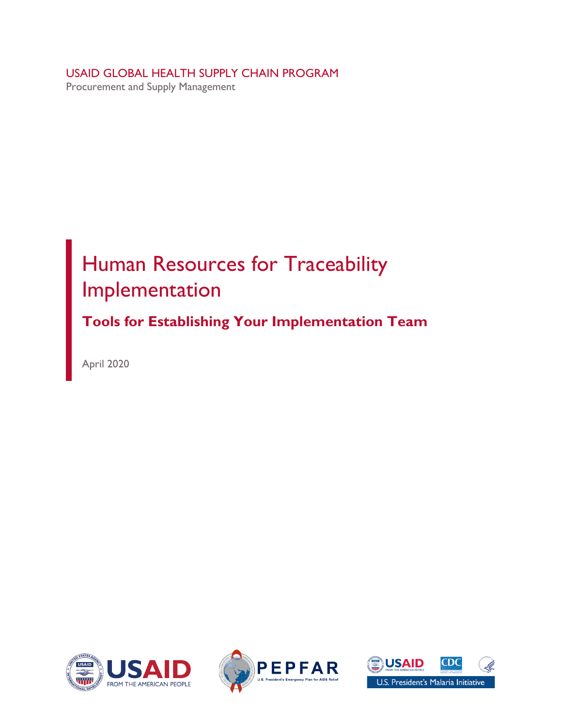USAID GLOBAL HEALTH SUPPLY CHAIN PROGRAM Procurement and Supply Management

# Human Resources for Traceability Implementation

**Tools for Establishing Your Implementation Team** 

April 2020





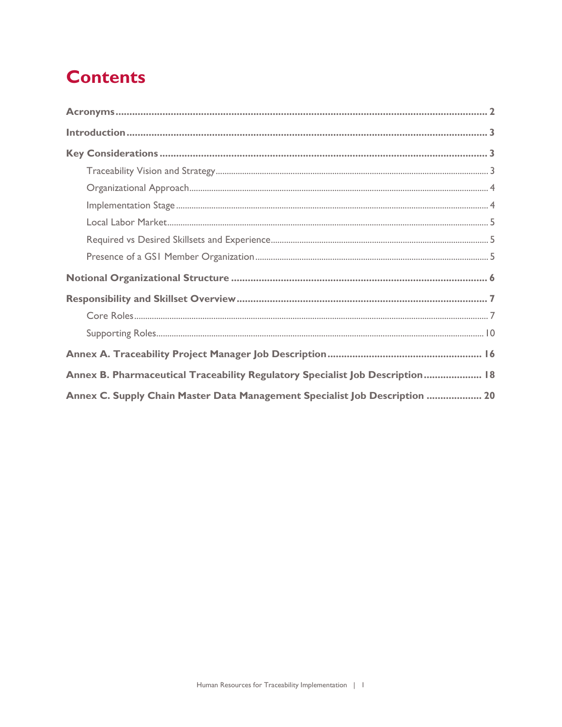# **Contents**

| Annex B. Pharmaceutical Traceability Regulatory Specialist Job Description 18 |
|-------------------------------------------------------------------------------|
| Annex C. Supply Chain Master Data Management Specialist Job Description  20   |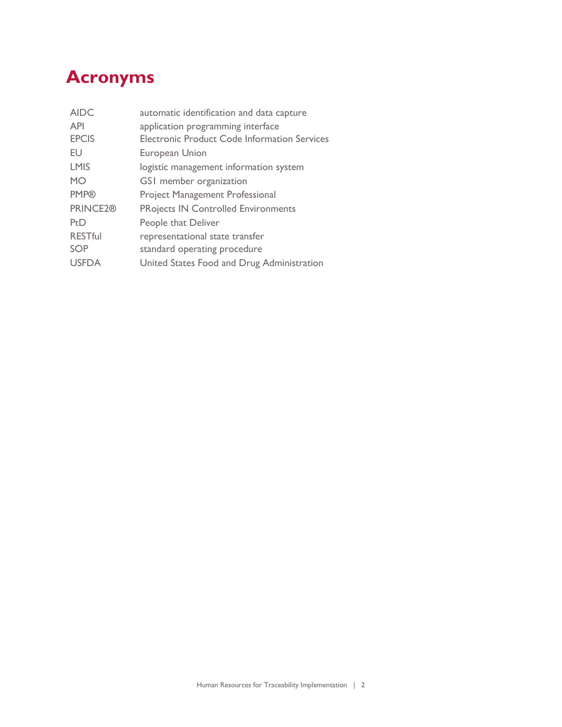## <span id="page-3-0"></span>**Acronyms**

| <b>AIDC</b>          | automatic identification and data capture           |
|----------------------|-----------------------------------------------------|
| <b>API</b>           | application programming interface                   |
| <b>EPCIS</b>         | <b>Electronic Product Code Information Services</b> |
| EU                   | <b>European Union</b>                               |
| <b>LMIS</b>          | logistic management information system              |
| <b>MO</b>            | GS1 member organization                             |
| <b>PMP®</b>          | <b>Project Management Professional</b>              |
| PRINCE2 <sup>®</sup> | <b>PRojects IN Controlled Environments</b>          |
| PtD                  | People that Deliver                                 |
| <b>RESTful</b>       | representational state transfer                     |
| <b>SOP</b>           | standard operating procedure                        |
| <b>USFDA</b>         | United States Food and Drug Administration          |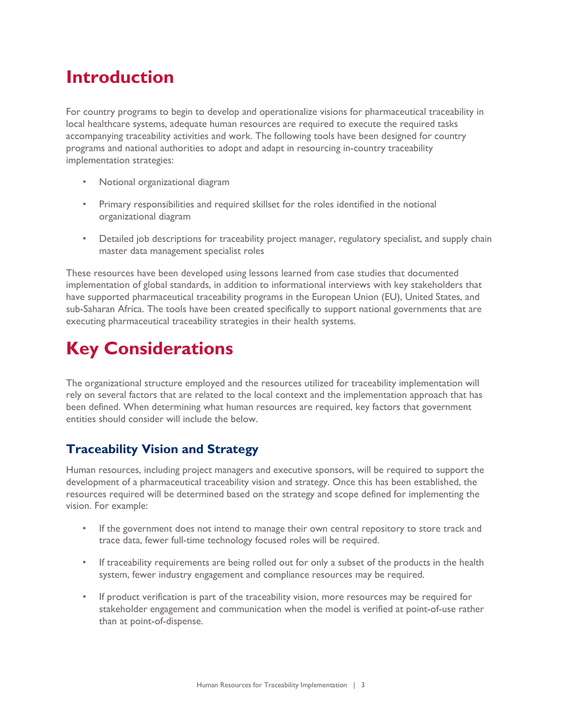## <span id="page-4-0"></span>**Introduction**

For country programs to begin to develop and operationalize visions for pharmaceutical traceability in local healthcare systems, adequate human resources are required to execute the required tasks accompanying traceability activities and work. The following tools have been designed for country programs and national authorities to adopt and adapt in resourcing in-country traceability implementation strategies:

- Notional organizational diagram
- Primary responsibilities and required skillset for the roles identified in the notional organizational diagram
- Detailed job descriptions for traceability project manager, regulatory specialist, and supply chain master data management specialist roles

These resources have been developed using lessons learned from case studies that documented implementation of global standards, in addition to informational interviews with key stakeholders that have supported pharmaceutical traceability programs in the European Union (EU), United States, and sub-Saharan Africa. The tools have been created specifically to support national governments that are executing pharmaceutical traceability strategies in their health systems.

# <span id="page-4-1"></span>**Key Considerations**

The organizational structure employed and the resources utilized for traceability implementation will rely on several factors that are related to the local context and the implementation approach that has been defined. When determining what human resources are required, key factors that government entities should consider will include the below.

### <span id="page-4-2"></span>**Traceability Vision and Strategy**

Human resources, including project managers and executive sponsors, will be required to support the development of a pharmaceutical traceability vision and strategy. Once this has been established, the resources required will be determined based on the strategy and scope defined for implementing the vision. For example:

- If the government does not intend to manage their own central repository to store track and trace data, fewer full-time technology focused roles will be required.
- If traceability requirements are being rolled out for only a subset of the products in the health system, fewer industry engagement and compliance resources may be required.
- If product verification is part of the traceability vision, more resources may be required for stakeholder engagement and communication when the model is verified at point-of-use rather than at point-of-dispense.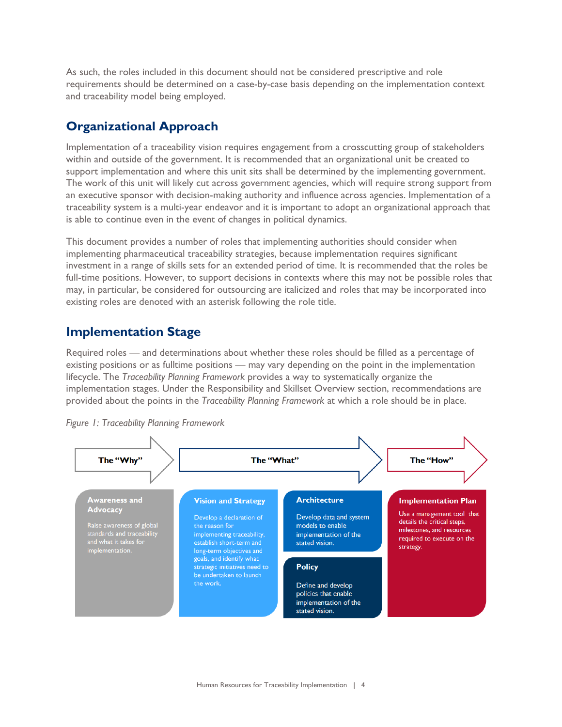As such, the roles included in this document should not be considered prescriptive and role requirements should be determined on a case-by-case basis depending on the implementation context and traceability model being employed.

### <span id="page-5-0"></span>**Organizational Approach**

Implementation of a traceability vision requires engagement from a crosscutting group of stakeholders within and outside of the government. It is recommended that an organizational unit be created to support implementation and where this unit sits shall be determined by the implementing government. The work of this unit will likely cut across government agencies, which will require strong support from an executive sponsor with decision-making authority and influence across agencies. Implementation of a traceability system is a multi-year endeavor and it is important to adopt an organizational approach that is able to continue even in the event of changes in political dynamics.

This document provides a number of roles that implementing authorities should consider when implementing pharmaceutical traceability strategies, because implementation requires significant investment in a range of skills sets for an extended period of time. It is recommended that the roles be full-time positions. However, to support decisions in contexts where this may not be possible roles that may, in particular, be considered for outsourcing are italicized and roles that may be incorporated into existing roles are denoted with an asterisk following the role title.

### <span id="page-5-1"></span>**Implementation Stage**

Required roles — and determinations about whether these roles should be filled as a percentage of existing positions or as fulltime positions — may vary depending on the point in the implementation lifecycle. The *Traceability Planning Framework* provides a way to systematically organize the implementation stages. Under the Responsibility and Skillset Overview section, recommendations are provided about the points in the *Traceability Planning Framework* at which a role should be in place.



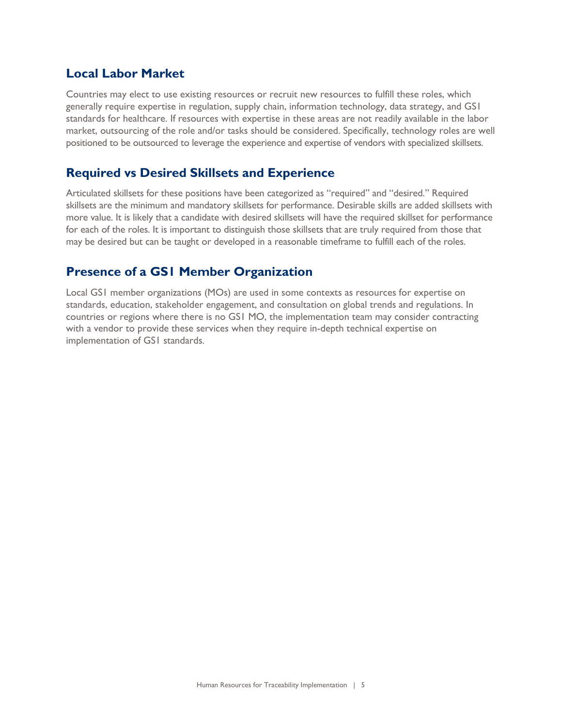### <span id="page-6-0"></span>**Local Labor Market**

Countries may elect to use existing resources or recruit new resources to fulfill these roles, which generally require expertise in regulation, supply chain, information technology, data strategy, and GS1 standards for healthcare. If resources with expertise in these areas are not readily available in the labor market, outsourcing of the role and/or tasks should be considered. Specifically, technology roles are well positioned to be outsourced to leverage the experience and expertise of vendors with specialized skillsets*.* 

### <span id="page-6-1"></span>**Required vs Desired Skillsets and Experience**

Articulated skillsets for these positions have been categorized as "required" and "desired." Required skillsets are the minimum and mandatory skillsets for performance. Desirable skills are added skillsets with more value. It is likely that a candidate with desired skillsets will have the required skillset for performance for each of the roles. It is important to distinguish those skillsets that are truly required from those that may be desired but can be taught or developed in a reasonable timeframe to fulfill each of the roles.

### <span id="page-6-2"></span>**Presence of a GS1 Member Organization**

Local GS1 member organizations (MOs) are used in some contexts as resources for expertise on standards, education, stakeholder engagement, and consultation on global trends and regulations. In countries or regions where there is no GS1 MO, the implementation team may consider contracting with a vendor to provide these services when they require in-depth technical expertise on implementation of GS1 standards.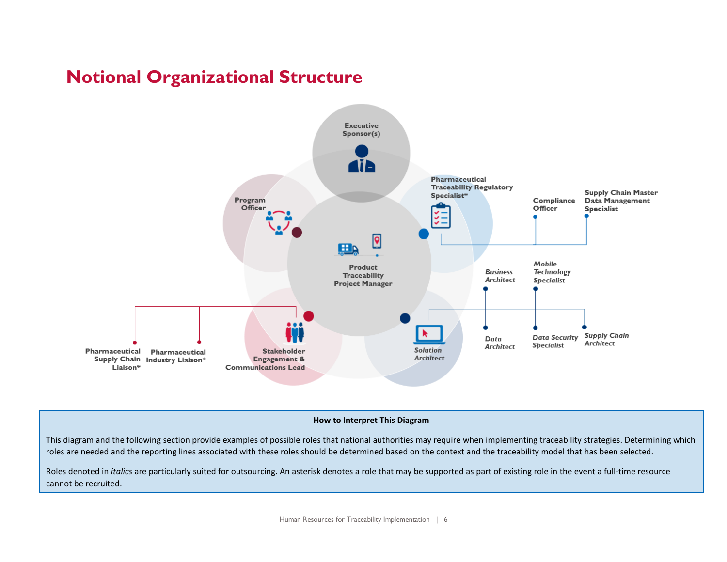## **Notional Organizational Structure**

<span id="page-7-0"></span>

#### **How to Interpret This Diagram**

This diagram and the following section provide examples of possible roles that national authorities may require when implementing traceability strategies. Determining which roles are needed and the reporting lines associated with these roles should be determined based on the context and the traceability model that has been selected.

Roles denoted in *italics* are particularly suited for outsourcing. An asterisk denotes a role that may be supported as part of existing role in the event a full-time resource cannot be recruited.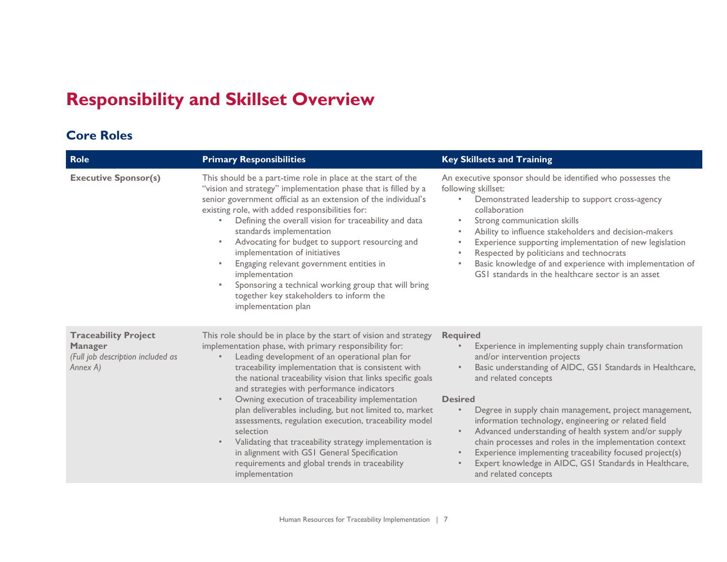## **Responsibility and Skillset Overview**

### **Core Roles**

<span id="page-8-1"></span><span id="page-8-0"></span>

| Role                                                                                           | <b>Primary Responsibilities</b>                                                                                                                                                                                                                                                                                                                                                                                                                                                                                                                                                                                                                                                                                                | <b>Key Skillsets and Training</b>                                                                                                                                                                                                                                                                                                                                                                                                                                                                                                                                                                                                          |
|------------------------------------------------------------------------------------------------|--------------------------------------------------------------------------------------------------------------------------------------------------------------------------------------------------------------------------------------------------------------------------------------------------------------------------------------------------------------------------------------------------------------------------------------------------------------------------------------------------------------------------------------------------------------------------------------------------------------------------------------------------------------------------------------------------------------------------------|--------------------------------------------------------------------------------------------------------------------------------------------------------------------------------------------------------------------------------------------------------------------------------------------------------------------------------------------------------------------------------------------------------------------------------------------------------------------------------------------------------------------------------------------------------------------------------------------------------------------------------------------|
| <b>Executive Sponsor(s)</b>                                                                    | This should be a part-time role in place at the start of the<br>"vision and strategy" implementation phase that is filled by a<br>senior government official as an extension of the individual's<br>existing role, with added responsibilities for:<br>Defining the overall vision for traceability and data<br>standards implementation<br>Advocating for budget to support resourcing and<br>implementation of initiatives<br>Engaging relevant government entities in<br>implementation<br>Sponsoring a technical working group that will bring<br>together key stakeholders to inform the<br>implementation plan                                                                                                           | An executive sponsor should be identified who possesses the<br>following skillset:<br>Demonstrated leadership to support cross-agency<br>$\bullet$<br>collaboration<br>Strong communication skills<br>$\bullet$<br>Ability to influence stakeholders and decision-makers<br>Experience supporting implementation of new legislation<br>$\bullet$<br>Respected by politicians and technocrats<br>Basic knowledge of and experience with implementation of<br>GSI standards in the healthcare sector is an asset                                                                                                                             |
| <b>Traceability Project</b><br><b>Manager</b><br>(Full job description included as<br>Annex A) | This role should be in place by the start of vision and strategy<br>implementation phase, with primary responsibility for:<br>Leading development of an operational plan for<br>traceability implementation that is consistent with<br>the national traceability vision that links specific goals<br>and strategies with performance indicators<br>Owning execution of traceability implementation<br>$\bullet$<br>plan deliverables including, but not limited to, market<br>assessments, regulation execution, traceability model<br>selection<br>Validating that traceability strategy implementation is<br>in alignment with GSI General Specification<br>requirements and global trends in traceability<br>implementation | <b>Required</b><br>Experience in implementing supply chain transformation<br>and/or intervention projects<br>Basic understanding of AIDC, GSI Standards in Healthcare,<br>$\bullet$<br>and related concepts<br><b>Desired</b><br>Degree in supply chain management, project management,<br>information technology, engineering or related field<br>Advanced understanding of health system and/or supply<br>$\bullet$<br>chain processes and roles in the implementation context<br>Experience implementing traceability focused project(s)<br>$\bullet$<br>Expert knowledge in AIDC, GSI Standards in Healthcare,<br>and related concepts |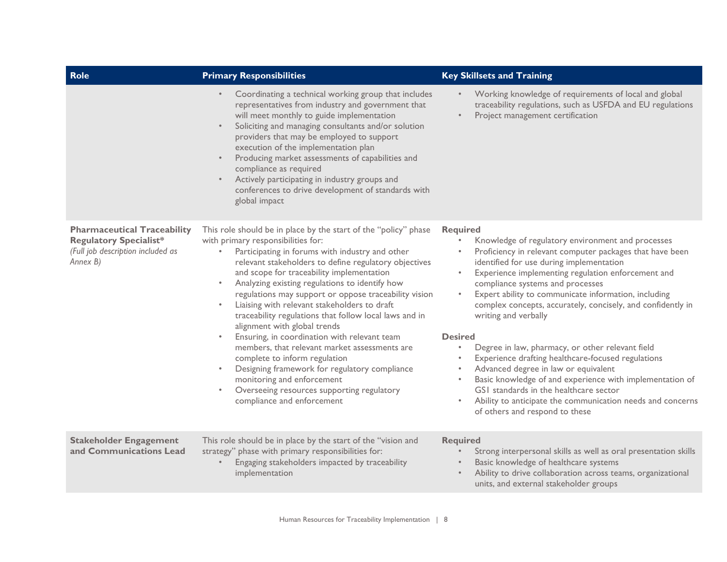| <b>Role</b>                                                                                                          | <b>Primary Responsibilities</b>                                                                                                                                                                                                                                                                                                                                                                                                                                                                                                                                                                                                                                                                                                                                                                                                                                  | <b>Key Skillsets and Training</b>                                                                                                                                                                                                                                                                                                                                                                                                                                                                                                                                                                                                                                                                                                                                             |
|----------------------------------------------------------------------------------------------------------------------|------------------------------------------------------------------------------------------------------------------------------------------------------------------------------------------------------------------------------------------------------------------------------------------------------------------------------------------------------------------------------------------------------------------------------------------------------------------------------------------------------------------------------------------------------------------------------------------------------------------------------------------------------------------------------------------------------------------------------------------------------------------------------------------------------------------------------------------------------------------|-------------------------------------------------------------------------------------------------------------------------------------------------------------------------------------------------------------------------------------------------------------------------------------------------------------------------------------------------------------------------------------------------------------------------------------------------------------------------------------------------------------------------------------------------------------------------------------------------------------------------------------------------------------------------------------------------------------------------------------------------------------------------------|
|                                                                                                                      | Coordinating a technical working group that includes<br>$\bullet$<br>representatives from industry and government that<br>will meet monthly to guide implementation<br>Soliciting and managing consultants and/or solution<br>$\bullet$<br>providers that may be employed to support<br>execution of the implementation plan<br>Producing market assessments of capabilities and<br>compliance as required<br>Actively participating in industry groups and<br>$\bullet$<br>conferences to drive development of standards with<br>global impact                                                                                                                                                                                                                                                                                                                  | Working knowledge of requirements of local and global<br>traceability regulations, such as USFDA and EU regulations<br>Project management certification<br>$\bullet$                                                                                                                                                                                                                                                                                                                                                                                                                                                                                                                                                                                                          |
| <b>Pharmaceutical Traceability</b><br><b>Regulatory Specialist*</b><br>(Full job description included as<br>Annex B) | This role should be in place by the start of the "policy" phase<br>with primary responsibilities for:<br>Participating in forums with industry and other<br>$\bullet$<br>relevant stakeholders to define regulatory objectives<br>and scope for traceability implementation<br>Analyzing existing regulations to identify how<br>$\bullet$<br>regulations may support or oppose traceability vision<br>Liaising with relevant stakeholders to draft<br>$\bullet$<br>traceability regulations that follow local laws and in<br>alignment with global trends<br>Ensuring, in coordination with relevant team<br>$\bullet$<br>members, that relevant market assessments are<br>complete to inform regulation<br>Designing framework for regulatory compliance<br>$\bullet$<br>monitoring and enforcement<br>Overseeing resources supporting regulatory<br>$\bullet$ | <b>Required</b><br>Knowledge of regulatory environment and processes<br>Proficiency in relevant computer packages that have been<br>identified for use during implementation<br>Experience implementing regulation enforcement and<br>$\bullet$<br>compliance systems and processes<br>Expert ability to communicate information, including<br>$\bullet$<br>complex concepts, accurately, concisely, and confidently in<br>writing and verbally<br><b>Desired</b><br>Degree in law, pharmacy, or other relevant field<br>$\bullet$<br>Experience drafting healthcare-focused regulations<br>$\bullet$<br>Advanced degree in law or equivalent<br>$\bullet$<br>Basic knowledge of and experience with implementation of<br>$\bullet$<br>GSI standards in the healthcare sector |
|                                                                                                                      | compliance and enforcement                                                                                                                                                                                                                                                                                                                                                                                                                                                                                                                                                                                                                                                                                                                                                                                                                                       | Ability to anticipate the communication needs and concerns<br>$\bullet$<br>of others and respond to these                                                                                                                                                                                                                                                                                                                                                                                                                                                                                                                                                                                                                                                                     |
| <b>Stakeholder Engagement</b><br>and Communications Lead                                                             | This role should be in place by the start of the "vision and<br>strategy" phase with primary responsibilities for:<br>Engaging stakeholders impacted by traceability<br>implementation                                                                                                                                                                                                                                                                                                                                                                                                                                                                                                                                                                                                                                                                           | <b>Required</b><br>Strong interpersonal skills as well as oral presentation skills<br>$\bullet$<br>Basic knowledge of healthcare systems<br>$\bullet$<br>Ability to drive collaboration across teams, organizational<br>units, and external stakeholder groups                                                                                                                                                                                                                                                                                                                                                                                                                                                                                                                |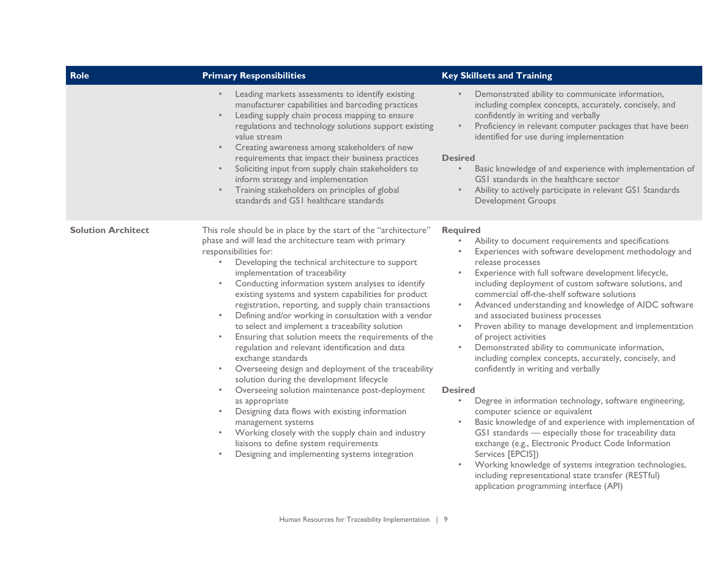| Role                      | <b>Primary Responsibilities</b>                                                                                                                                                                                                                                                                                                                                                                                                                                                                                                                                                                                                                                                                                                                                                                                                                                                                                                                                                                                                                                                                                                                                                        | <b>Key Skillsets and Training</b>                                                                                                                                                                                                                                                                                                                                                                                                                                                                                                                                                                                                                                                                                                                                                                                                                                                                                                                                                                                                                                                                                                                                                                                                    |
|---------------------------|----------------------------------------------------------------------------------------------------------------------------------------------------------------------------------------------------------------------------------------------------------------------------------------------------------------------------------------------------------------------------------------------------------------------------------------------------------------------------------------------------------------------------------------------------------------------------------------------------------------------------------------------------------------------------------------------------------------------------------------------------------------------------------------------------------------------------------------------------------------------------------------------------------------------------------------------------------------------------------------------------------------------------------------------------------------------------------------------------------------------------------------------------------------------------------------|--------------------------------------------------------------------------------------------------------------------------------------------------------------------------------------------------------------------------------------------------------------------------------------------------------------------------------------------------------------------------------------------------------------------------------------------------------------------------------------------------------------------------------------------------------------------------------------------------------------------------------------------------------------------------------------------------------------------------------------------------------------------------------------------------------------------------------------------------------------------------------------------------------------------------------------------------------------------------------------------------------------------------------------------------------------------------------------------------------------------------------------------------------------------------------------------------------------------------------------|
|                           | Leading markets assessments to identify existing<br>$\bullet$<br>manufacturer capabilities and barcoding practices<br>Leading supply chain process mapping to ensure<br>$\bullet$<br>regulations and technology solutions support existing<br>value stream<br>Creating awareness among stakeholders of new<br>$\bullet$<br>requirements that impact their business practices<br>Soliciting input from supply chain stakeholders to<br>$\bullet$<br>inform strategy and implementation<br>Training stakeholders on principles of global<br>$\bullet$<br>standards and GSI healthcare standards                                                                                                                                                                                                                                                                                                                                                                                                                                                                                                                                                                                          | Demonstrated ability to communicate information,<br>$\bullet$<br>including complex concepts, accurately, concisely, and<br>confidently in writing and verbally<br>Proficiency in relevant computer packages that have been<br>$\bullet$<br>identified for use during implementation<br><b>Desired</b><br>Basic knowledge of and experience with implementation of<br>$\bullet$<br>GSI standards in the healthcare sector<br>Ability to actively participate in relevant GS1 Standards<br>$\bullet$<br><b>Development Groups</b>                                                                                                                                                                                                                                                                                                                                                                                                                                                                                                                                                                                                                                                                                                      |
| <b>Solution Architect</b> | This role should be in place by the start of the "architecture"<br>phase and will lead the architecture team with primary<br>responsibilities for:<br>Developing the technical architecture to support<br>$\bullet$<br>implementation of traceability<br>Conducting information system analyses to identify<br>$\bullet$<br>existing systems and system capabilities for product<br>registration, reporting, and supply chain transactions<br>Defining and/or working in consultation with a vendor<br>$\bullet$<br>to select and implement a traceability solution<br>Ensuring that solution meets the requirements of the<br>$\bullet$<br>regulation and relevant identification and data<br>exchange standards<br>Overseeing design and deployment of the traceability<br>$\bullet$<br>solution during the development lifecycle<br>Overseeing solution maintenance post-deployment<br>$\bullet$<br>as appropriate<br>Designing data flows with existing information<br>$\bullet$<br>management systems<br>Working closely with the supply chain and industry<br>$\bullet$<br>liaisons to define system requirements<br>Designing and implementing systems integration<br>$\bullet$ | <b>Required</b><br>Ability to document requirements and specifications<br>Experiences with software development methodology and<br>release processes<br>Experience with full software development lifecycle,<br>$\bullet$<br>including deployment of custom software solutions, and<br>commercial off-the-shelf software solutions<br>Advanced understanding and knowledge of AIDC software<br>$\bullet$<br>and associated business processes<br>Proven ability to manage development and implementation<br>$\bullet$<br>of project activities<br>Demonstrated ability to communicate information,<br>$\bullet$<br>including complex concepts, accurately, concisely, and<br>confidently in writing and verbally<br><b>Desired</b><br>Degree in information technology, software engineering,<br>$\bullet$<br>computer science or equivalent<br>Basic knowledge of and experience with implementation of<br>$\bullet$<br>GSI standards - especially those for traceability data<br>exchange (e.g., Electronic Product Code Information<br>Services [EPCIS])<br>Working knowledge of systems integration technologies,<br>$\bullet$<br>including representational state transfer (RESTful)<br>application programming interface (API) |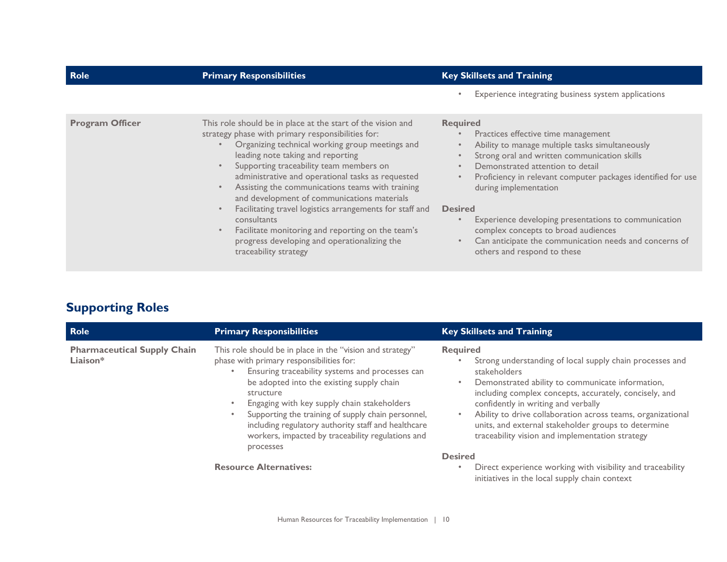| <b>Role</b>            | <b>Primary Responsibilities</b>                                                                                                                                                                                                                                                                                                                                                                                                                                         | <b>Key Skillsets and Training</b>                                                                                                                                                                                                                                                                        |
|------------------------|-------------------------------------------------------------------------------------------------------------------------------------------------------------------------------------------------------------------------------------------------------------------------------------------------------------------------------------------------------------------------------------------------------------------------------------------------------------------------|----------------------------------------------------------------------------------------------------------------------------------------------------------------------------------------------------------------------------------------------------------------------------------------------------------|
|                        |                                                                                                                                                                                                                                                                                                                                                                                                                                                                         | Experience integrating business system applications                                                                                                                                                                                                                                                      |
| <b>Program Officer</b> | This role should be in place at the start of the vision and<br>strategy phase with primary responsibilities for:<br>Organizing technical working group meetings and<br>leading note taking and reporting<br>Supporting traceability team members on<br>administrative and operational tasks as requested<br>Assisting the communications teams with training<br>and development of communications materials<br>Facilitating travel logistics arrangements for staff and | <b>Required</b><br>Practices effective time management<br>Ability to manage multiple tasks simultaneously<br>Strong oral and written communication skills<br>Demonstrated attention to detail<br>Proficiency in relevant computer packages identified for use<br>during implementation<br><b>Desired</b> |
|                        | consultants<br>Facilitate monitoring and reporting on the team's<br>progress developing and operationalizing the<br>traceability strategy                                                                                                                                                                                                                                                                                                                               | Experience developing presentations to communication<br>complex concepts to broad audiences<br>Can anticipate the communication needs and concerns of<br>others and respond to these                                                                                                                     |

| <b>Supporting Roles</b> |  |
|-------------------------|--|
|-------------------------|--|

<span id="page-11-0"></span>

| Role                                           | <b>Primary Responsibilities</b>                                                                                                                                                                                                                                                                                                                                                                                                                  | <b>Key Skillsets and Training</b>                                                                                                                                                                                                                                                                                                                                                                                         |
|------------------------------------------------|--------------------------------------------------------------------------------------------------------------------------------------------------------------------------------------------------------------------------------------------------------------------------------------------------------------------------------------------------------------------------------------------------------------------------------------------------|---------------------------------------------------------------------------------------------------------------------------------------------------------------------------------------------------------------------------------------------------------------------------------------------------------------------------------------------------------------------------------------------------------------------------|
| <b>Pharmaceutical Supply Chain</b><br>Liaison* | This role should be in place in the "vision and strategy"<br>phase with primary responsibilities for:<br>Ensuring traceability systems and processes can<br>be adopted into the existing supply chain<br>structure<br>Engaging with key supply chain stakeholders<br>Supporting the training of supply chain personnel,<br>including regulatory authority staff and healthcare<br>workers, impacted by traceability regulations and<br>processes | <b>Required</b><br>Strong understanding of local supply chain processes and<br>stakeholders<br>Demonstrated ability to communicate information,<br>including complex concepts, accurately, concisely, and<br>confidently in writing and verbally<br>Ability to drive collaboration across teams, organizational<br>units, and external stakeholder groups to determine<br>traceability vision and implementation strategy |
|                                                | <b>Resource Alternatives:</b>                                                                                                                                                                                                                                                                                                                                                                                                                    | <b>Desired</b><br>Direct experience working with visibility and traceability<br>initiatives in the local supply chain context                                                                                                                                                                                                                                                                                             |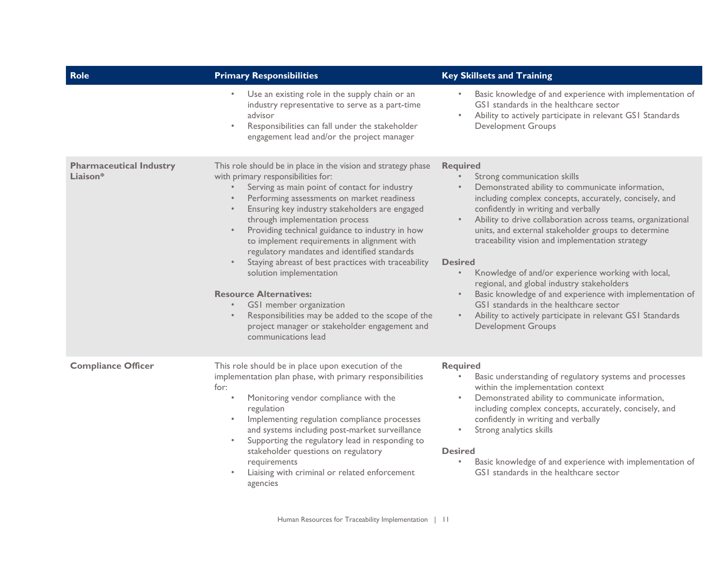| <b>Role</b>                                | <b>Primary Responsibilities</b>                                                                                                                                                                                                                                                                                                                                                                                                                                                                                                                                                                                                                                                                                                               | <b>Key Skillsets and Training</b>                                                                                                                                                                                                                                                                                                                                                                                                                                                                                                                                                                                                                                                                                 |
|--------------------------------------------|-----------------------------------------------------------------------------------------------------------------------------------------------------------------------------------------------------------------------------------------------------------------------------------------------------------------------------------------------------------------------------------------------------------------------------------------------------------------------------------------------------------------------------------------------------------------------------------------------------------------------------------------------------------------------------------------------------------------------------------------------|-------------------------------------------------------------------------------------------------------------------------------------------------------------------------------------------------------------------------------------------------------------------------------------------------------------------------------------------------------------------------------------------------------------------------------------------------------------------------------------------------------------------------------------------------------------------------------------------------------------------------------------------------------------------------------------------------------------------|
|                                            | Use an existing role in the supply chain or an<br>$\bullet$<br>industry representative to serve as a part-time<br>advisor<br>Responsibilities can fall under the stakeholder<br>$\bullet$<br>engagement lead and/or the project manager                                                                                                                                                                                                                                                                                                                                                                                                                                                                                                       | Basic knowledge of and experience with implementation of<br>$\bullet$<br>GSI standards in the healthcare sector<br>Ability to actively participate in relevant GS1 Standards<br>$\bullet$<br><b>Development Groups</b>                                                                                                                                                                                                                                                                                                                                                                                                                                                                                            |
| <b>Pharmaceutical Industry</b><br>Liaison* | This role should be in place in the vision and strategy phase<br>with primary responsibilities for:<br>Serving as main point of contact for industry<br>Performing assessments on market readiness<br>Ensuring key industry stakeholders are engaged<br>through implementation process<br>Providing technical guidance to industry in how<br>$\bullet$<br>to implement requirements in alignment with<br>regulatory mandates and identified standards<br>Staying abreast of best practices with traceability<br>solution implementation<br><b>Resource Alternatives:</b><br>GS1 member organization<br>Responsibilities may be added to the scope of the<br>$\bullet$<br>project manager or stakeholder engagement and<br>communications lead | <b>Required</b><br>Strong communication skills<br>Demonstrated ability to communicate information,<br>including complex concepts, accurately, concisely, and<br>confidently in writing and verbally<br>Ability to drive collaboration across teams, organizational<br>units, and external stakeholder groups to determine<br>traceability vision and implementation strategy<br><b>Desired</b><br>Knowledge of and/or experience working with local,<br>regional, and global industry stakeholders<br>Basic knowledge of and experience with implementation of<br>GSI standards in the healthcare sector<br>Ability to actively participate in relevant GS1 Standards<br>$\bullet$ .<br><b>Development Groups</b> |
| <b>Compliance Officer</b>                  | This role should be in place upon execution of the<br>implementation plan phase, with primary responsibilities<br>for:<br>Monitoring vendor compliance with the<br>$\bullet$<br>regulation<br>Implementing regulation compliance processes<br>and systems including post-market surveillance<br>Supporting the regulatory lead in responding to<br>$\bullet$<br>stakeholder questions on regulatory<br>requirements<br>Liaising with criminal or related enforcement<br>agencies                                                                                                                                                                                                                                                              | <b>Required</b><br>Basic understanding of regulatory systems and processes<br>within the implementation context<br>Demonstrated ability to communicate information,<br>$\bullet$<br>including complex concepts, accurately, concisely, and<br>confidently in writing and verbally<br>Strong analytics skills<br><b>Desired</b><br>Basic knowledge of and experience with implementation of<br>GSI standards in the healthcare sector                                                                                                                                                                                                                                                                              |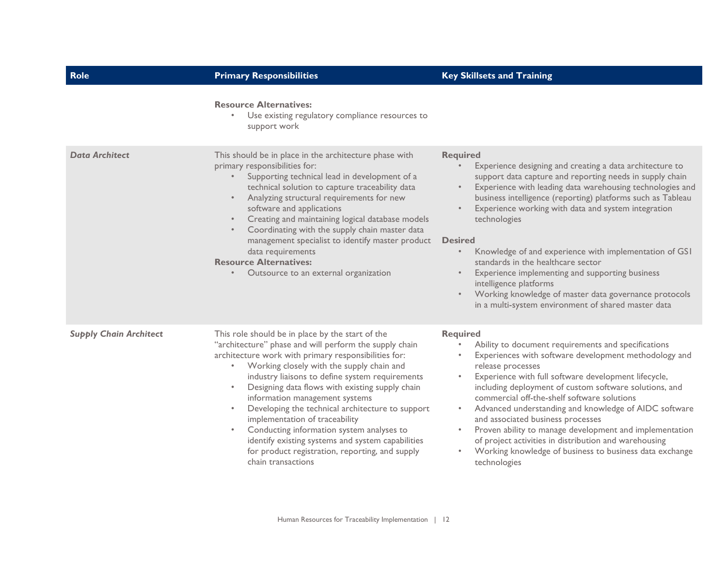| Role                          | <b>Primary Responsibilities</b>                                                                                                                                                                                                                                                                                                                                                                                                                                                                                                                                                                                                         | <b>Key Skillsets and Training</b>                                                                                                                                                                                                                                                                                                                                                                                                                                                                                                                                                                                                                                                                             |
|-------------------------------|-----------------------------------------------------------------------------------------------------------------------------------------------------------------------------------------------------------------------------------------------------------------------------------------------------------------------------------------------------------------------------------------------------------------------------------------------------------------------------------------------------------------------------------------------------------------------------------------------------------------------------------------|---------------------------------------------------------------------------------------------------------------------------------------------------------------------------------------------------------------------------------------------------------------------------------------------------------------------------------------------------------------------------------------------------------------------------------------------------------------------------------------------------------------------------------------------------------------------------------------------------------------------------------------------------------------------------------------------------------------|
|                               | <b>Resource Alternatives:</b><br>Use existing regulatory compliance resources to<br>$\bullet$<br>support work                                                                                                                                                                                                                                                                                                                                                                                                                                                                                                                           |                                                                                                                                                                                                                                                                                                                                                                                                                                                                                                                                                                                                                                                                                                               |
| <b>Data Architect</b>         | This should be in place in the architecture phase with<br>primary responsibilities for:<br>Supporting technical lead in development of a<br>$\bullet$ .<br>technical solution to capture traceability data<br>Analyzing structural requirements for new<br>$\bullet$<br>software and applications<br>Creating and maintaining logical database models<br>$\bullet$<br>Coordinating with the supply chain master data<br>management specialist to identify master product<br>data requirements<br><b>Resource Alternatives:</b><br>Outsource to an external organization<br>$\bullet$                                                    | <b>Required</b><br>Experience designing and creating a data architecture to<br>$\bullet$<br>support data capture and reporting needs in supply chain<br>Experience with leading data warehousing technologies and<br>$\bullet$<br>business intelligence (reporting) platforms such as Tableau<br>Experience working with data and system integration<br>technologies<br><b>Desired</b><br>Knowledge of and experience with implementation of GS1<br>$\bullet$<br>standards in the healthcare sector<br>Experience implementing and supporting business<br>$\bullet$<br>intelligence platforms<br>Working knowledge of master data governance protocols<br>in a multi-system environment of shared master data |
| <b>Supply Chain Architect</b> | This role should be in place by the start of the<br>"architecture" phase and will perform the supply chain<br>architecture work with primary responsibilities for:<br>Working closely with the supply chain and<br>$\bullet$ .<br>industry liaisons to define system requirements<br>Designing data flows with existing supply chain<br>information management systems<br>Developing the technical architecture to support<br>implementation of traceability<br>Conducting information system analyses to<br>identify existing systems and system capabilities<br>for product registration, reporting, and supply<br>chain transactions | <b>Required</b><br>Ability to document requirements and specifications<br>$\bullet$<br>Experiences with software development methodology and<br>release processes<br>Experience with full software development lifecycle,<br>$\bullet$<br>including deployment of custom software solutions, and<br>commercial off-the-shelf software solutions<br>Advanced understanding and knowledge of AIDC software<br>$\bullet$<br>and associated business processes<br>Proven ability to manage development and implementation<br>$\bullet$<br>of project activities in distribution and warehousing<br>Working knowledge of business to business data exchange<br>$\bullet$<br>technologies                           |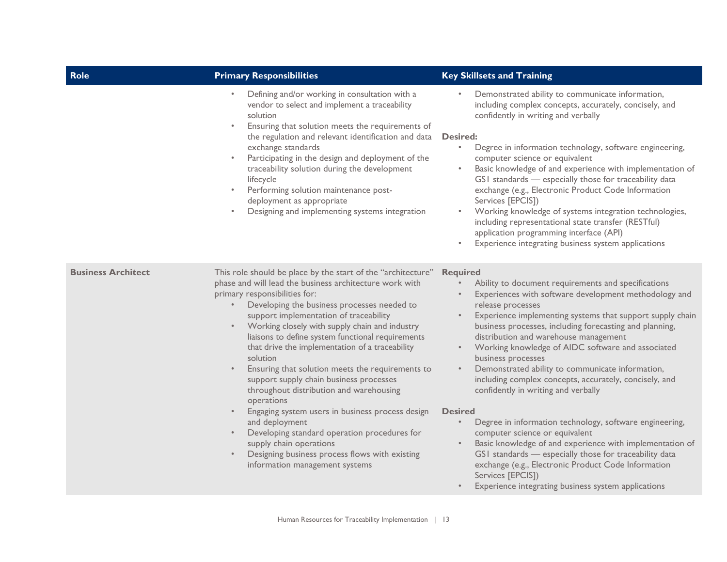| Role                      | <b>Primary Responsibilities</b>                                                                                                                                                                                                                                                                                                                                                                                                                                                                                                                                                                                                                                                                                                                                                                                                                             | <b>Key Skillsets and Training</b>                                                                                                                                                                                                                                                                                                                                                                                                                                                                                                                                                                                                                                                                                                                                                                                                                                                                                                                                                                           |
|---------------------------|-------------------------------------------------------------------------------------------------------------------------------------------------------------------------------------------------------------------------------------------------------------------------------------------------------------------------------------------------------------------------------------------------------------------------------------------------------------------------------------------------------------------------------------------------------------------------------------------------------------------------------------------------------------------------------------------------------------------------------------------------------------------------------------------------------------------------------------------------------------|-------------------------------------------------------------------------------------------------------------------------------------------------------------------------------------------------------------------------------------------------------------------------------------------------------------------------------------------------------------------------------------------------------------------------------------------------------------------------------------------------------------------------------------------------------------------------------------------------------------------------------------------------------------------------------------------------------------------------------------------------------------------------------------------------------------------------------------------------------------------------------------------------------------------------------------------------------------------------------------------------------------|
|                           | Defining and/or working in consultation with a<br>$\bullet$<br>vendor to select and implement a traceability<br>solution<br>Ensuring that solution meets the requirements of<br>$\bullet$<br>the regulation and relevant identification and data<br>exchange standards<br>Participating in the design and deployment of the<br>$\bullet$<br>traceability solution during the development<br>lifecycle<br>Performing solution maintenance post-<br>$\bullet$<br>deployment as appropriate<br>Designing and implementing systems integration<br>$\bullet$                                                                                                                                                                                                                                                                                                     | Demonstrated ability to communicate information,<br>including complex concepts, accurately, concisely, and<br>confidently in writing and verbally<br><b>Desired:</b><br>Degree in information technology, software engineering,<br>$\bullet$<br>computer science or equivalent<br>Basic knowledge of and experience with implementation of<br>$\bullet$<br>GSI standards - especially those for traceability data<br>exchange (e.g., Electronic Product Code Information<br>Services [EPCIS])<br>Working knowledge of systems integration technologies,<br>$\bullet$<br>including representational state transfer (RESTful)<br>application programming interface (API)<br>Experience integrating business system applications                                                                                                                                                                                                                                                                               |
| <b>Business Architect</b> | This role should be place by the start of the "architecture"<br>phase and will lead the business architecture work with<br>primary responsibilities for:<br>Developing the business processes needed to<br>support implementation of traceability<br>Working closely with supply chain and industry<br>liaisons to define system functional requirements<br>that drive the implementation of a traceability<br>solution<br>Ensuring that solution meets the requirements to<br>$\bullet$<br>support supply chain business processes<br>throughout distribution and warehousing<br>operations<br>Engaging system users in business process design<br>$\bullet$<br>and deployment<br>Developing standard operation procedures for<br>$\bullet$<br>supply chain operations<br>Designing business process flows with existing<br>information management systems | <b>Required</b><br>Ability to document requirements and specifications<br>$\bullet$<br>Experiences with software development methodology and<br>release processes<br>Experience implementing systems that support supply chain<br>$\bullet$<br>business processes, including forecasting and planning,<br>distribution and warehouse management<br>Working knowledge of AIDC software and associated<br>$\bullet$<br>business processes<br>Demonstrated ability to communicate information,<br>$\bullet$<br>including complex concepts, accurately, concisely, and<br>confidently in writing and verbally<br><b>Desired</b><br>Degree in information technology, software engineering,<br>$\bullet$<br>computer science or equivalent<br>Basic knowledge of and experience with implementation of<br>$\bullet$<br>GSI standards - especially those for traceability data<br>exchange (e.g., Electronic Product Code Information<br>Services [EPCIS])<br>Experience integrating business system applications |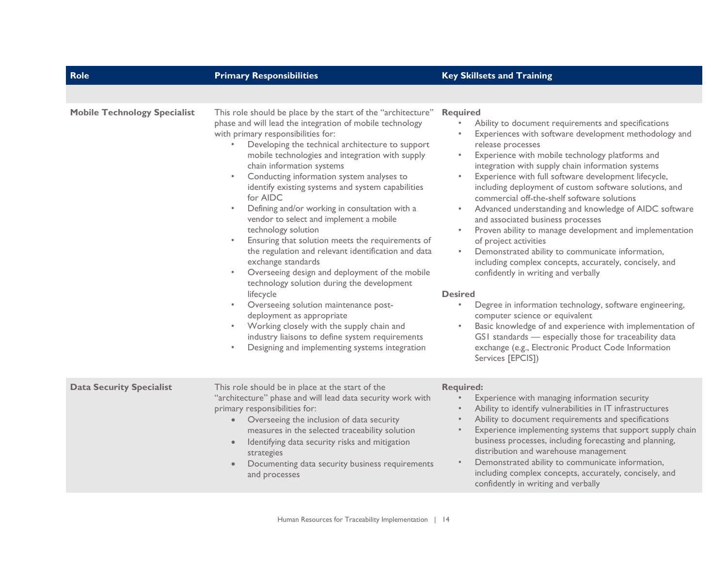| <b>Role</b>                         | <b>Primary Responsibilities</b>                                                                                                                                                                                                                                                                                                                                                                                                                                                                                                                                                                                                                                                                                                                                                                                                                                                                                                                                                                                                                                                          | <b>Key Skillsets and Training</b>                                                                                                                                                                                                                                                                                                                                                                                                                                                                                                                                                                                                                                                                                                                                                                                                                                                                                                                                                                                                                                                                                                                                                |
|-------------------------------------|------------------------------------------------------------------------------------------------------------------------------------------------------------------------------------------------------------------------------------------------------------------------------------------------------------------------------------------------------------------------------------------------------------------------------------------------------------------------------------------------------------------------------------------------------------------------------------------------------------------------------------------------------------------------------------------------------------------------------------------------------------------------------------------------------------------------------------------------------------------------------------------------------------------------------------------------------------------------------------------------------------------------------------------------------------------------------------------|----------------------------------------------------------------------------------------------------------------------------------------------------------------------------------------------------------------------------------------------------------------------------------------------------------------------------------------------------------------------------------------------------------------------------------------------------------------------------------------------------------------------------------------------------------------------------------------------------------------------------------------------------------------------------------------------------------------------------------------------------------------------------------------------------------------------------------------------------------------------------------------------------------------------------------------------------------------------------------------------------------------------------------------------------------------------------------------------------------------------------------------------------------------------------------|
|                                     |                                                                                                                                                                                                                                                                                                                                                                                                                                                                                                                                                                                                                                                                                                                                                                                                                                                                                                                                                                                                                                                                                          |                                                                                                                                                                                                                                                                                                                                                                                                                                                                                                                                                                                                                                                                                                                                                                                                                                                                                                                                                                                                                                                                                                                                                                                  |
| <b>Mobile Technology Specialist</b> | This role should be place by the start of the "architecture"<br>phase and will lead the integration of mobile technology<br>with primary responsibilities for:<br>Developing the technical architecture to support<br>mobile technologies and integration with supply<br>chain information systems<br>Conducting information system analyses to<br>$\bullet$<br>identify existing systems and system capabilities<br>for AIDC<br>Defining and/or working in consultation with a<br>$\bullet$<br>vendor to select and implement a mobile<br>technology solution<br>Ensuring that solution meets the requirements of<br>the regulation and relevant identification and data<br>exchange standards<br>Overseeing design and deployment of the mobile<br>$\bullet$<br>technology solution during the development<br>lifecycle<br>Overseeing solution maintenance post-<br>$\bullet$<br>deployment as appropriate<br>Working closely with the supply chain and<br>$\bullet$<br>industry liaisons to define system requirements<br>Designing and implementing systems integration<br>$\bullet$ | <b>Required</b><br>Ability to document requirements and specifications<br>Experiences with software development methodology and<br>release processes<br>Experience with mobile technology platforms and<br>$\bullet$<br>integration with supply chain information systems<br>Experience with full software development lifecycle,<br>$\bullet$<br>including deployment of custom software solutions, and<br>commercial off-the-shelf software solutions<br>Advanced understanding and knowledge of AIDC software<br>$\bullet$<br>and associated business processes<br>Proven ability to manage development and implementation<br>$\bullet$<br>of project activities<br>Demonstrated ability to communicate information,<br>$\bullet$<br>including complex concepts, accurately, concisely, and<br>confidently in writing and verbally<br><b>Desired</b><br>$\bullet$<br>Degree in information technology, software engineering,<br>computer science or equivalent<br>Basic knowledge of and experience with implementation of<br>$\bullet$<br>GSI standards - especially those for traceability data<br>exchange (e.g., Electronic Product Code Information<br>Services [EPCIS]) |
| <b>Data Security Specialist</b>     | This role should be in place at the start of the<br>"architecture" phase and will lead data security work with<br>primary responsibilities for:<br>Overseeing the inclusion of data security<br>measures in the selected traceability solution<br>Identifying data security risks and mitigation<br>$\bullet$<br>strategies<br>Documenting data security business requirements<br>and processes                                                                                                                                                                                                                                                                                                                                                                                                                                                                                                                                                                                                                                                                                          | <b>Required:</b><br>Experience with managing information security<br>Ability to identify vulnerabilities in IT infrastructures<br>Ability to document requirements and specifications<br>Experience implementing systems that support supply chain<br>$\bullet$<br>business processes, including forecasting and planning,<br>distribution and warehouse management<br>Demonstrated ability to communicate information,<br>$\bullet$<br>including complex concepts, accurately, concisely, and<br>confidently in writing and verbally                                                                                                                                                                                                                                                                                                                                                                                                                                                                                                                                                                                                                                            |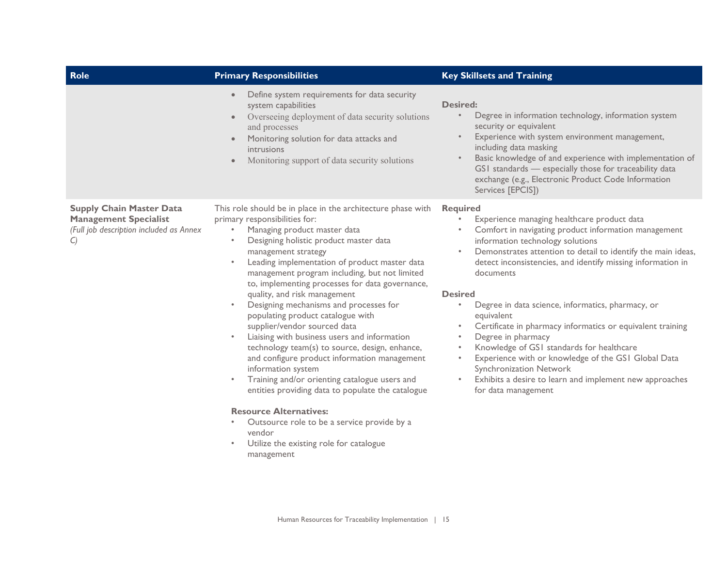| Role                                                                                                                        | <b>Primary Responsibilities</b>                                                                                                                                                                                                                                                                                                                                                                                                                                                                                                                                                                                                                                                                                                                                                                                                                                                                                                                                                                                                            | <b>Key Skillsets and Training</b>                                                                                                                                                                                                                                                                                                                                                                                                                                                                                                                                                                                                                                                                                                                                                           |
|-----------------------------------------------------------------------------------------------------------------------------|--------------------------------------------------------------------------------------------------------------------------------------------------------------------------------------------------------------------------------------------------------------------------------------------------------------------------------------------------------------------------------------------------------------------------------------------------------------------------------------------------------------------------------------------------------------------------------------------------------------------------------------------------------------------------------------------------------------------------------------------------------------------------------------------------------------------------------------------------------------------------------------------------------------------------------------------------------------------------------------------------------------------------------------------|---------------------------------------------------------------------------------------------------------------------------------------------------------------------------------------------------------------------------------------------------------------------------------------------------------------------------------------------------------------------------------------------------------------------------------------------------------------------------------------------------------------------------------------------------------------------------------------------------------------------------------------------------------------------------------------------------------------------------------------------------------------------------------------------|
|                                                                                                                             | Define system requirements for data security<br>$\bullet$<br>system capabilities<br>Overseeing deployment of data security solutions<br>$\bullet$<br>and processes<br>Monitoring solution for data attacks and<br>$\bullet$<br>intrusions<br>Monitoring support of data security solutions<br>$\bullet$                                                                                                                                                                                                                                                                                                                                                                                                                                                                                                                                                                                                                                                                                                                                    | <b>Desired:</b><br>Degree in information technology, information system<br>$\bullet$<br>security or equivalent<br>Experience with system environment management,<br>$\bullet$<br>including data masking<br>Basic knowledge of and experience with implementation of<br>$\bullet$<br>GSI standards - especially those for traceability data<br>exchange (e.g., Electronic Product Code Information<br>Services [EPCIS])                                                                                                                                                                                                                                                                                                                                                                      |
| <b>Supply Chain Master Data</b><br><b>Management Specialist</b><br>(Full job description included as Annex<br>$\mathcal{C}$ | This role should be in place in the architecture phase with<br>primary responsibilities for:<br>Managing product master data<br>$\bullet$<br>Designing holistic product master data<br>$\bullet$<br>management strategy<br>Leading implementation of product master data<br>$\bullet$<br>management program including, but not limited<br>to, implementing processes for data governance,<br>quality, and risk management<br>Designing mechanisms and processes for<br>$\bullet$<br>populating product catalogue with<br>supplier/vendor sourced data<br>Liaising with business users and information<br>$\bullet$<br>technology team(s) to source, design, enhance,<br>and configure product information management<br>information system<br>Training and/or orienting catalogue users and<br>$\bullet$<br>entities providing data to populate the catalogue<br><b>Resource Alternatives:</b><br>Outsource role to be a service provide by a<br>$\bullet$<br>vendor<br>Utilize the existing role for catalogue<br>$\bullet$<br>management | <b>Required</b><br>Experience managing healthcare product data<br>Comfort in navigating product information management<br>information technology solutions<br>Demonstrates attention to detail to identify the main ideas,<br>$\bullet$<br>detect inconsistencies, and identify missing information in<br>documents<br><b>Desired</b><br>Degree in data science, informatics, pharmacy, or<br>$\bullet$<br>equivalent<br>Certificate in pharmacy informatics or equivalent training<br>$\bullet$<br>Degree in pharmacy<br>$\bullet$<br>Knowledge of GS1 standards for healthcare<br>$\bullet$<br>Experience with or knowledge of the GS1 Global Data<br>$\bullet$<br>Synchronization Network<br>Exhibits a desire to learn and implement new approaches<br>$\bullet$<br>for data management |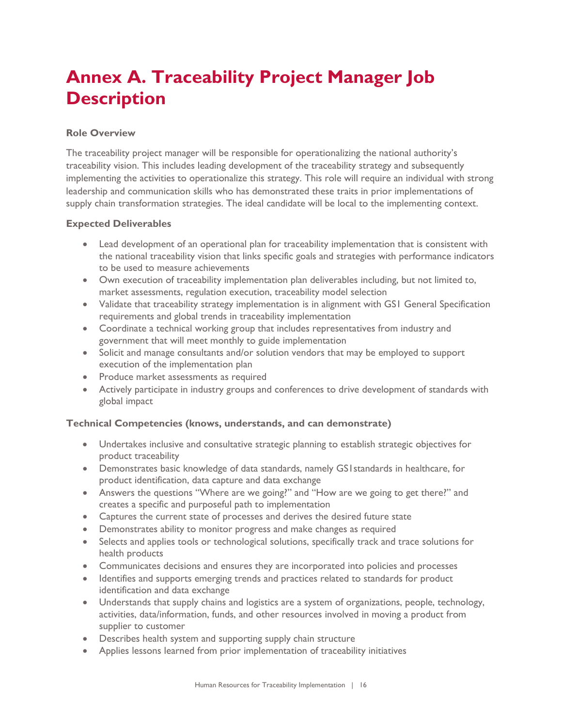## <span id="page-17-0"></span>**Annex A. Traceability Project Manager Job Description**

#### **Role Overview**

The traceability project manager will be responsible for operationalizing the national authority's traceability vision. This includes leading development of the traceability strategy and subsequently implementing the activities to operationalize this strategy. This role will require an individual with strong leadership and communication skills who has demonstrated these traits in prior implementations of supply chain transformation strategies. The ideal candidate will be local to the implementing context.

#### **Expected Deliverables**

- Lead development of an operational plan for traceability implementation that is consistent with the national traceability vision that links specific goals and strategies with performance indicators to be used to measure achievements
- Own execution of traceability implementation plan deliverables including, but not limited to, market assessments, regulation execution, traceability model selection
- Validate that traceability strategy implementation is in alignment with GS1 General Specification requirements and global trends in traceability implementation
- Coordinate a technical working group that includes representatives from industry and government that will meet monthly to guide implementation
- Solicit and manage consultants and/or solution vendors that may be employed to support execution of the implementation plan
- Produce market assessments as required
- Actively participate in industry groups and conferences to drive development of standards with global impact

#### **Technical Competencies (knows, understands, and can demonstrate)**

- Undertakes inclusive and consultative strategic planning to establish strategic objectives for product traceability
- Demonstrates basic knowledge of data standards, namely GS1standards in healthcare, for product identification, data capture and data exchange
- Answers the questions "Where are we going?" and "How are we going to get there?" and creates a specific and purposeful path to implementation
- Captures the current state of processes and derives the desired future state
- Demonstrates ability to monitor progress and make changes as required
- Selects and applies tools or technological solutions, specifically track and trace solutions for health products
- Communicates decisions and ensures they are incorporated into policies and processes
- Identifies and supports emerging trends and practices related to standards for product identification and data exchange
- Understands that supply chains and logistics are a system of organizations, people, technology, activities, data/information, funds, and other resources involved in moving a product from supplier to customer
- Describes health system and supporting supply chain structure
- Applies lessons learned from prior implementation of traceability initiatives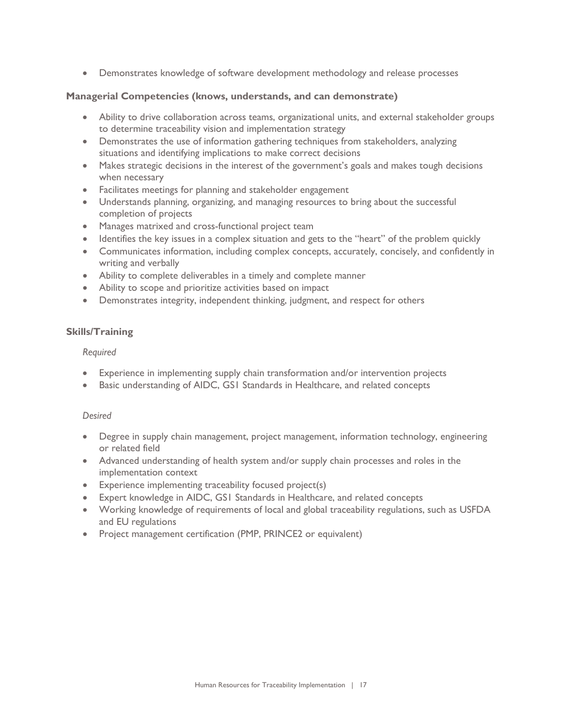• Demonstrates knowledge of software development methodology and release processes

#### **Managerial Competencies (knows, understands, and can demonstrate)**

- Ability to drive collaboration across teams, organizational units, and external stakeholder groups to determine traceability vision and implementation strategy
- Demonstrates the use of information gathering techniques from stakeholders, analyzing situations and identifying implications to make correct decisions
- Makes strategic decisions in the interest of the government's goals and makes tough decisions when necessary
- Facilitates meetings for planning and stakeholder engagement
- Understands planning, organizing, and managing resources to bring about the successful completion of projects
- Manages matrixed and cross-functional project team
- Identifies the key issues in a complex situation and gets to the "heart" of the problem quickly
- Communicates information, including complex concepts, accurately, concisely, and confidently in writing and verbally
- Ability to complete deliverables in a timely and complete manner
- Ability to scope and prioritize activities based on impact
- Demonstrates integrity, independent thinking, judgment, and respect for others

#### **Skills/Training**

#### *Required*

- Experience in implementing supply chain transformation and/or intervention projects
- Basic understanding of AIDC, GS1 Standards in Healthcare, and related concepts

#### *Desired*

- Degree in supply chain management, project management, information technology, engineering or related field
- Advanced understanding of health system and/or supply chain processes and roles in the implementation context
- Experience implementing traceability focused project(s)
- Expert knowledge in AIDC, GS1 Standards in Healthcare, and related concepts
- Working knowledge of requirements of local and global traceability regulations, such as USFDA and EU regulations
- Project management certification (PMP, PRINCE2 or equivalent)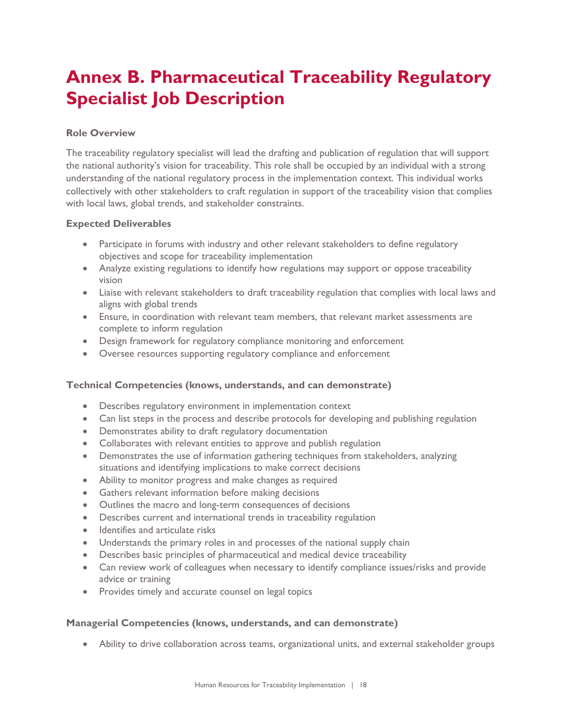## <span id="page-19-0"></span>**Annex B. Pharmaceutical Traceability Regulatory Specialist Job Description**

#### **Role Overview**

The traceability regulatory specialist will lead the drafting and publication of regulation that will support the national authority's vision for traceability. This role shall be occupied by an individual with a strong understanding of the national regulatory process in the implementation context. This individual works collectively with other stakeholders to craft regulation in support of the traceability vision that complies with local laws, global trends, and stakeholder constraints.

#### **Expected Deliverables**

- Participate in forums with industry and other relevant stakeholders to define regulatory objectives and scope for traceability implementation
- Analyze existing regulations to identify how regulations may support or oppose traceability vision
- Liaise with relevant stakeholders to draft traceability regulation that complies with local laws and aligns with global trends
- Ensure, in coordination with relevant team members, that relevant market assessments are complete to inform regulation
- Design framework for regulatory compliance monitoring and enforcement
- Oversee resources supporting regulatory compliance and enforcement

#### **Technical Competencies (knows, understands, and can demonstrate)**

- Describes regulatory environment in implementation context
- Can list steps in the process and describe protocols for developing and publishing regulation
- Demonstrates ability to draft regulatory documentation
- Collaborates with relevant entities to approve and publish regulation
- Demonstrates the use of information gathering techniques from stakeholders, analyzing situations and identifying implications to make correct decisions
- Ability to monitor progress and make changes as required
- Gathers relevant information before making decisions
- Outlines the macro and long-term consequences of decisions
- Describes current and international trends in traceability regulation
- Identifies and articulate risks
- Understands the primary roles in and processes of the national supply chain
- Describes basic principles of pharmaceutical and medical device traceability
- Can review work of colleagues when necessary to identify compliance issues/risks and provide advice or training
- Provides timely and accurate counsel on legal topics

#### **Managerial Competencies (knows, understands, and can demonstrate)**

• Ability to drive collaboration across teams, organizational units, and external stakeholder groups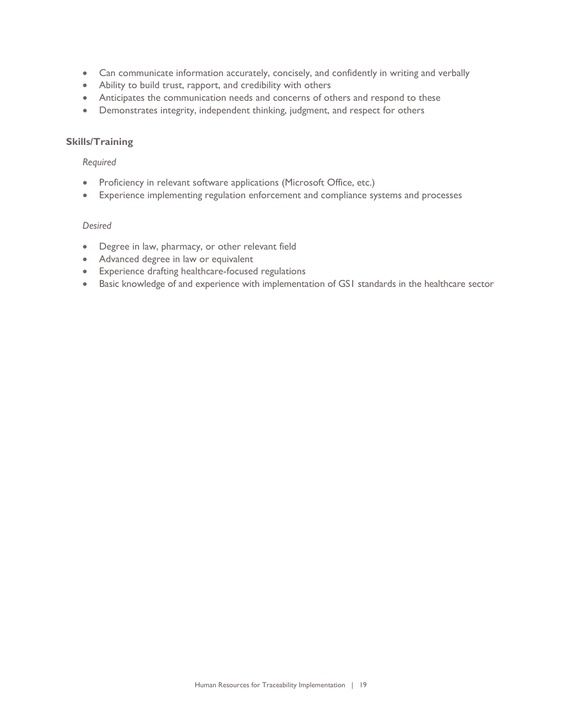- Can communicate information accurately, concisely, and confidently in writing and verbally
- Ability to build trust, rapport, and credibility with others
- Anticipates the communication needs and concerns of others and respond to these
- Demonstrates integrity, independent thinking, judgment, and respect for others

#### **Skills/Training**

#### *Required*

- Proficiency in relevant software applications (Microsoft Office, etc.)
- Experience implementing regulation enforcement and compliance systems and processes

#### *Desired*

- Degree in law, pharmacy, or other relevant field
- Advanced degree in law or equivalent
- Experience drafting healthcare-focused regulations
- Basic knowledge of and experience with implementation of GS1 standards in the healthcare sector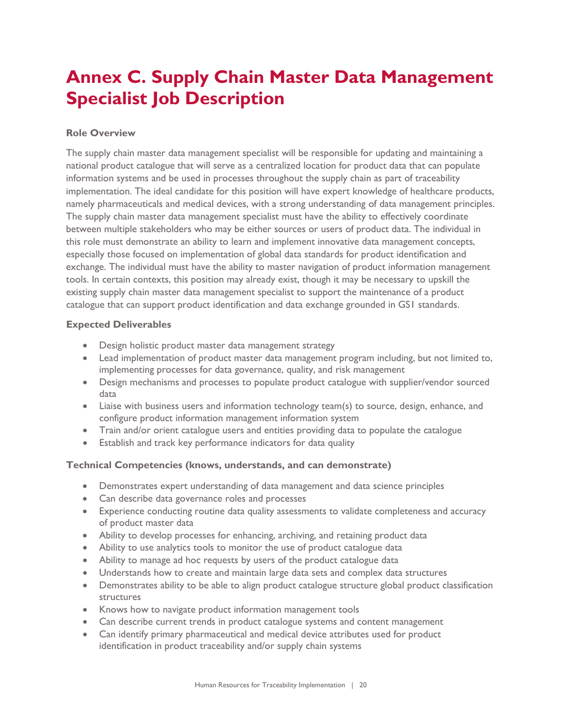## <span id="page-21-0"></span>**Annex C. Supply Chain Master Data Management Specialist Job Description**

#### **Role Overview**

The supply chain master data management specialist will be responsible for updating and maintaining a national product catalogue that will serve as a centralized location for product data that can populate information systems and be used in processes throughout the supply chain as part of traceability implementation. The ideal candidate for this position will have expert knowledge of healthcare products, namely pharmaceuticals and medical devices, with a strong understanding of data management principles. The supply chain master data management specialist must have the ability to effectively coordinate between multiple stakeholders who may be either sources or users of product data. The individual in this role must demonstrate an ability to learn and implement innovative data management concepts, especially those focused on implementation of global data standards for product identification and exchange. The individual must have the ability to master navigation of product information management tools. In certain contexts, this position may already exist, though it may be necessary to upskill the existing supply chain master data management specialist to support the maintenance of a product catalogue that can support product identification and data exchange grounded in GS1 standards.

#### **Expected Deliverables**

- Design holistic product master data management strategy
- Lead implementation of product master data management program including, but not limited to, implementing processes for data governance, quality, and risk management
- Design mechanisms and processes to populate product catalogue with supplier/vendor sourced data
- Liaise with business users and information technology team(s) to source, design, enhance, and configure product information management information system
- Train and/or orient catalogue users and entities providing data to populate the catalogue
- Establish and track key performance indicators for data quality

#### **Technical Competencies (knows, understands, and can demonstrate)**

- Demonstrates expert understanding of data management and data science principles
- Can describe data governance roles and processes
- Experience conducting routine data quality assessments to validate completeness and accuracy of product master data
- Ability to develop processes for enhancing, archiving, and retaining product data
- Ability to use analytics tools to monitor the use of product catalogue data
- Ability to manage ad hoc requests by users of the product catalogue data
- Understands how to create and maintain large data sets and complex data structures
- Demonstrates ability to be able to align product catalogue structure global product classification structures
- Knows how to navigate product information management tools
- Can describe current trends in product catalogue systems and content management
- Can identify primary pharmaceutical and medical device attributes used for product identification in product traceability and/or supply chain systems